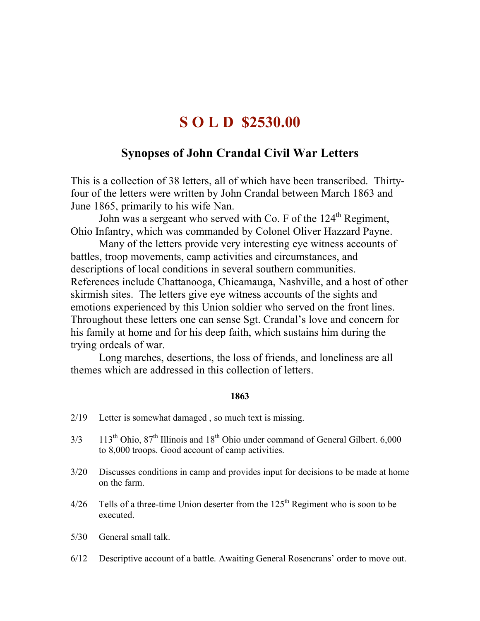# **S O L D \$2530.00**

## **Synopses of John Crandal Civil War Letters**

This is a collection of 38 letters, all of which have been transcribed. Thirtyfour of the letters were written by John Crandal between March 1863 and June 1865, primarily to his wife Nan.

John was a sergeant who served with Co. F of the  $124<sup>th</sup>$  Regiment, Ohio Infantry, which was commanded by Colonel Oliver Hazzard Payne.

Many of the letters provide very interesting eye witness accounts of battles, troop movements, camp activities and circumstances, and descriptions of local conditions in several southern communities. References include Chattanooga, Chicamauga, Nashville, and a host of other skirmish sites. The letters give eye witness accounts of the sights and emotions experienced by this Union soldier who served on the front lines. Throughout these letters one can sense Sgt. Crandal's love and concern for his family at home and for his deep faith, which sustains him during the trying ordeals of war.

Long marches, desertions, the loss of friends, and loneliness are all themes which are addressed in this collection of letters.

### **1863**

- 2/19 Letter is somewhat damaged , so much text is missing.
- $3/3$  113<sup>th</sup> Ohio,  $87<sup>th</sup>$  Illinois and  $18<sup>th</sup>$  Ohio under command of General Gilbert. 6,000 to 8,000 troops. Good account of camp activities.
- 3/20 Discusses conditions in camp and provides input for decisions to be made at home on the farm.
- $4/26$  Tells of a three-time Union deserter from the 125<sup>th</sup> Regiment who is soon to be executed.
- 5/30 General small talk.
- 6/12 Descriptive account of a battle. Awaiting General Rosencrans' order to move out.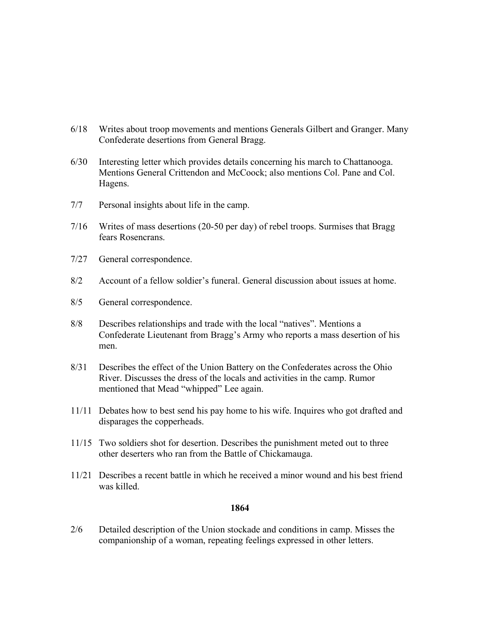- 6/18 Writes about troop movements and mentions Generals Gilbert and Granger. Many Confederate desertions from General Bragg.
- 6/30 Interesting letter which provides details concerning his march to Chattanooga. Mentions General Crittendon and McCoock; also mentions Col. Pane and Col. Hagens.
- 7/7 Personal insights about life in the camp.
- 7/16 Writes of mass desertions (20-50 per day) of rebel troops. Surmises that Bragg fears Rosencrans.
- 7/27 General correspondence.
- 8/2 Account of a fellow soldier's funeral. General discussion about issues at home.
- 8/5 General correspondence.
- 8/8 Describes relationships and trade with the local "natives". Mentions a Confederate Lieutenant from Bragg's Army who reports a mass desertion of his men.
- 8/31 Describes the effect of the Union Battery on the Confederates across the Ohio River. Discusses the dress of the locals and activities in the camp. Rumor mentioned that Mead "whipped" Lee again.
- 11/11 Debates how to best send his pay home to his wife. Inquires who got drafted and disparages the copperheads.
- 11/15 Two soldiers shot for desertion. Describes the punishment meted out to three other deserters who ran from the Battle of Chickamauga.
- 11/21 Describes a recent battle in which he received a minor wound and his best friend was killed.

#### **1864**

2/6 Detailed description of the Union stockade and conditions in camp. Misses the companionship of a woman, repeating feelings expressed in other letters.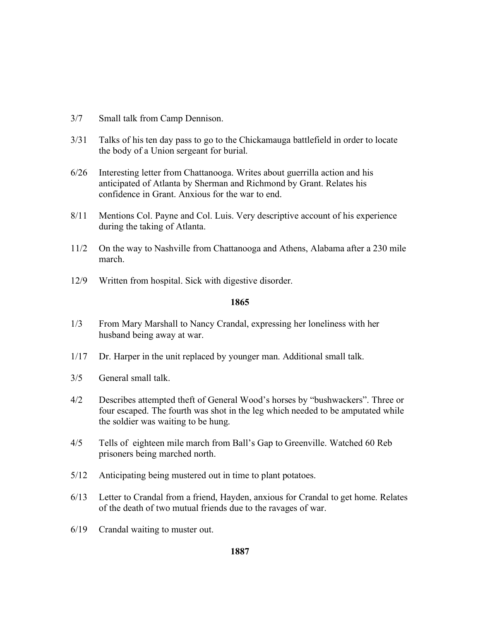- 3/7 Small talk from Camp Dennison.
- 3/31 Talks of his ten day pass to go to the Chickamauga battlefield in order to locate the body of a Union sergeant for burial.
- 6/26 Interesting letter from Chattanooga. Writes about guerrilla action and his anticipated of Atlanta by Sherman and Richmond by Grant. Relates his confidence in Grant. Anxious for the war to end.
- 8/11 Mentions Col. Payne and Col. Luis. Very descriptive account of his experience during the taking of Atlanta.
- 11/2 On the way to Nashville from Chattanooga and Athens, Alabama after a 230 mile march.
- 12/9 Written from hospital. Sick with digestive disorder.

### **1865**

- 1/3 From Mary Marshall to Nancy Crandal, expressing her loneliness with her husband being away at war.
- 1/17 Dr. Harper in the unit replaced by younger man. Additional small talk.
- 3/5 General small talk.
- 4/2 Describes attempted theft of General Wood's horses by "bushwackers". Three or four escaped. The fourth was shot in the leg which needed to be amputated while the soldier was waiting to be hung.
- 4/5 Tells of eighteen mile march from Ball's Gap to Greenville. Watched 60 Reb prisoners being marched north.
- 5/12 Anticipating being mustered out in time to plant potatoes.
- 6/13 Letter to Crandal from a friend, Hayden, anxious for Crandal to get home. Relates of the death of two mutual friends due to the ravages of war.
- 6/19 Crandal waiting to muster out.